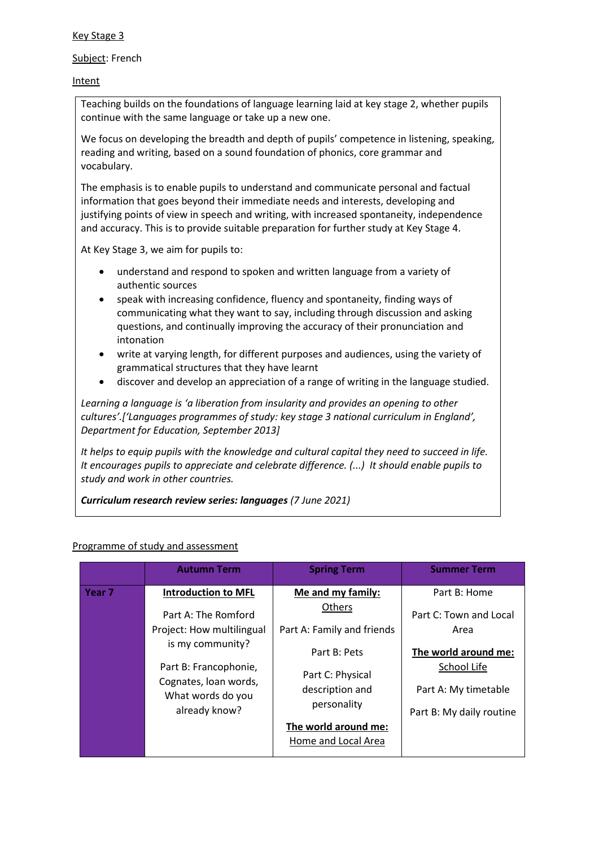## Key Stage 3

## Subject: French

## Intent

Teaching builds on the foundations of language learning laid at key stage 2, whether pupils continue with the same language or take up a new one.

We focus on developing the breadth and depth of pupils' competence in listening, speaking, reading and writing, based on a sound foundation of phonics, core grammar and vocabulary.

The emphasis is to enable pupils to understand and communicate personal and factual information that goes beyond their immediate needs and interests, developing and justifying points of view in speech and writing, with increased spontaneity, independence and accuracy. This is to provide suitable preparation for further study at Key Stage 4.

At Key Stage 3, we aim for pupils to:

- understand and respond to spoken and written language from a variety of authentic sources
- speak with increasing confidence, fluency and spontaneity, finding ways of communicating what they want to say, including through discussion and asking questions, and continually improving the accuracy of their pronunciation and intonation
- write at varying length, for different purposes and audiences, using the variety of grammatical structures that they have learnt
- discover and develop an appreciation of a range of writing in the language studied.

*Learning a language is 'a liberation from insularity and provides an opening to other cultures'.['Languages programmes of study: key stage 3 national curriculum in England', Department for Education, September 2013]*

*It helps to equip pupils with the knowledge and cultural capital they need to succeed in life. It encourages pupils to appreciate and celebrate difference. (...) It should enable pupils to study and work in other countries.*

*Curriculum research review series: languages (7 June 2021)*

## Programme of study and assessment

|                   | <b>Autumn Term</b>                             | <b>Spring Term</b>         | <b>Summer Term</b>       |
|-------------------|------------------------------------------------|----------------------------|--------------------------|
| Year <sub>7</sub> | <b>Introduction to MFL</b>                     | Me and my family:          | Part B: Home             |
|                   | Part A: The Romford                            | Others                     | Part C: Town and Local   |
|                   | Project: How multilingual                      | Part A: Family and friends | Area                     |
|                   | is my community?                               | Part B: Pets               | The world around me:     |
|                   | Part B: Francophonie,<br>Cognates, loan words, | Part C: Physical           | School Life              |
|                   | What words do you                              | description and            | Part A: My timetable     |
|                   | already know?                                  | personality                | Part B: My daily routine |
|                   |                                                | The world around me:       |                          |
|                   |                                                | Home and Local Area        |                          |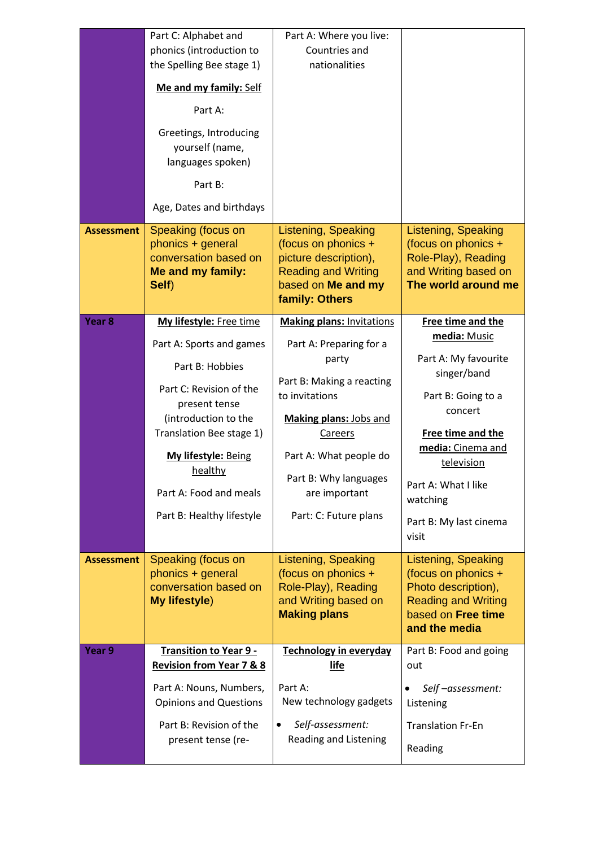|                   | Part C: Alphabet and<br>phonics (introduction to         | Part A: Where you live:<br>Countries and          |                                                   |
|-------------------|----------------------------------------------------------|---------------------------------------------------|---------------------------------------------------|
|                   | the Spelling Bee stage 1)                                | nationalities                                     |                                                   |
|                   | Me and my family: Self                                   |                                                   |                                                   |
|                   | Part A:                                                  |                                                   |                                                   |
|                   | Greetings, Introducing                                   |                                                   |                                                   |
|                   | yourself (name,<br>languages spoken)                     |                                                   |                                                   |
|                   | Part B:                                                  |                                                   |                                                   |
|                   | Age, Dates and birthdays                                 |                                                   |                                                   |
| <b>Assessment</b> | Speaking (focus on<br>phonics + general                  | <b>Listening, Speaking</b><br>(focus on phonics + | <b>Listening, Speaking</b><br>(focus on phonics + |
|                   | conversation based on                                    | picture description),                             | Role-Play), Reading                               |
|                   | Me and my family:<br>Self)                               | <b>Reading and Writing</b><br>based on Me and my  | and Writing based on<br>The world around me       |
|                   |                                                          | family: Others                                    |                                                   |
| Year <sub>8</sub> | My lifestyle: Free time                                  | <b>Making plans: Invitations</b>                  | Free time and the                                 |
|                   | Part A: Sports and games                                 | Part A: Preparing for a                           | media: Music                                      |
|                   | Part B: Hobbies                                          | party                                             | Part A: My favourite<br>singer/band               |
|                   | Part C: Revision of the                                  | Part B: Making a reacting<br>to invitations       | Part B: Going to a                                |
|                   | present tense<br>(introduction to the                    | <b>Making plans: Jobs and</b>                     | concert                                           |
|                   | Translation Bee stage 1)                                 | <b>Careers</b>                                    | Free time and the                                 |
|                   | My lifestyle: Being                                      | Part A: What people do                            | media: Cinema and<br>television                   |
|                   | healthy                                                  | Part B: Why languages                             | Part A: What I like                               |
|                   | Part A: Food and meals                                   | are important                                     | watching                                          |
|                   | Part B: Healthy lifestyle                                | Part: C: Future plans                             | Part B: My last cinema<br>visit                   |
| <b>Assessment</b> | Speaking (focus on                                       | Listening, Speaking                               | Listening, Speaking                               |
|                   | phonics + general                                        | (focus on phonics +                               | (focus on phonics +                               |
|                   | conversation based on<br><b>My lifestyle)</b>            | Role-Play), Reading<br>and Writing based on       | Photo description),<br><b>Reading and Writing</b> |
|                   |                                                          | <b>Making plans</b>                               | based on Free time                                |
|                   |                                                          |                                                   | and the media                                     |
| Year 9            | <b>Transition to Year 9 -</b>                            | <b>Technology in everyday</b>                     | Part B: Food and going                            |
|                   | <b>Revision from Year 7 &amp; 8</b>                      | life                                              | out                                               |
|                   | Part A: Nouns, Numbers,<br><b>Opinions and Questions</b> | Part A:<br>New technology gadgets                 | Self-assessment:<br>$\bullet$<br>Listening        |
|                   | Part B: Revision of the                                  | Self-assessment:<br>$\bullet$                     | <b>Translation Fr-En</b>                          |
|                   | present tense (re-                                       | Reading and Listening                             |                                                   |
|                   |                                                          |                                                   | Reading                                           |